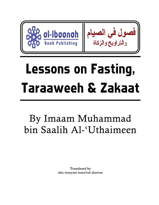

# Lessons on Fasting, Taraaweeh & Zakaat

By Imaam Muhammad bin Saalih Al-'Uthaimeen!

> **Translated by abu maryam isma'eel alarcon**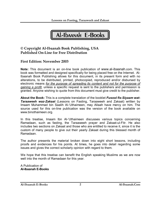Al-Ibaanah E-Books

# **© Copyright Al-Ibaanah Book Publishing, USA Published On-Line for Free Distribution**

## **First Edition: November 2003**

**Note:** This document is an on-line book publication of www.al-ibaanah.com. This book was formatted and designed specifically for being placed free on the Internet. Al-Ibaanah Book Publishing allows for this document, in its present form and with no alterations, to be distributed, printed, photocopied, reproduced and/or disbursed by electronic means *for the purpose of spreading its content and not for the purpose of gaining a profit,* unless a specific request is sent to the publishers and permission is granted. Anyone wishing to quote from this document must give credit to the publisher.

**About the Book:** This is a complete translation of the booklet *Fusool fis-Siyaam wat-Taraaweeh waz-Zakaat* (Lessons on Fasting, Taraaweeh and Zakaat) written by Imaam Muhammad bin Saalih Al-'Uthaimeen, may Allaah have mercy on him. The source used for this on-line publication was the version of the book available on www.binothaimeen.org.

In this treatise, Imaam Ibn Al-'Uthaimeen discusses various topics concerning Ramadaan, such as fasting, the Taraaweeh prayer and Zakaat-ul-Fitr. He also includes two sections on Zakaat and those who are entitled to receive it, since it is the custom of many people to give out their yearly Zakaat during this blessed month of Ramadaan.

The author presents the material broken down into eight short lessons, including proofs and evidences for his points. At times, he goes into detail regarding some issues and gives the correct scholarly opinion with regard to them.

We hope that this treatise can benefit the English speaking Muslims as we are now well into the month of Ramadaan for this year.

A Publication of **Al-Ibaanah E-Books**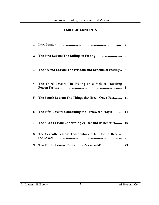# **TABLE OF CONTENTS**

| 3. The Second Lesson: The Wisdom and Benefits of Fasting 6 |    |
|------------------------------------------------------------|----|
| 4. The Third Lesson: The Ruling on a Sick or Traveling     | 8  |
| 5. The Fourth Lesson: The Things that Break One's Fast 11  |    |
| 6. The Fifth Lesson: Concerning the Taraaweeh Prayer 14    |    |
| 7. The Sixth Lesson: Concerning Zakaat and Its Benefits 16 |    |
| 8. The Seventh Lesson: Those who are Entitled to Receive   | 21 |
| 9. The Eighth Lesson: Concerning Zakaat-ul-Fitr            | 23 |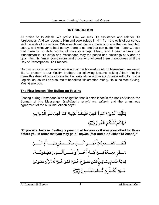## **INTRODUCTION**

<span id="page-3-0"></span>All praise be to Allaah. We praise Him, we seek His assistance and ask for His forgiveness. And we repent to Him and seek refuge in Him from the evils of our selves and the evils of our actions. Whoever Allaah guides, there is no one that can lead him astray, and whoever is lead astray, there is no one that can guide him. I bear witness that there is no deity worthy of worship except Allaah, and I bear witness that Muhammad is His slave and messenger, may the peace and blessings of Allaah be upon him, his family, companions and those who followed them in goodness until the Day of Recompense. To Proceed:

On this occasion of the rapid approach of the blessed month of Ramadaan, we would like to present to our Muslim brothers the following lessons, asking Allaah that He make this deed of ours sincere for His sake alone and in accordance with His Divine Legislation, as well as a source of benefit to His creation. Verily, He is the Most Giving, Most Generous.

# **The First lesson: The Ruling on Fasting**

Fasting during Ramadaan is an obligation that is established in the Book of Allaah, the Sunnah of His Messenger (*sallAllaahu 'alayhi wa sallam*) and the unanimous agreement of the Muslims. Allaah says:

**"O you who believe. Fasting is prescribed for you as it was prescribed for those before you in order that you may gain Taqwaa (fear and dutifulness to Allaah)."**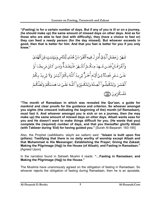**"(Fasting) is for a certain number of days. But if any of you is ill or on a journey, (he should make up) the same amount of missed days on other days. And as for those who are able to fast (but with difficulty), they (have a choice to fast or) they can feed a needy person (for the day missed). But whoever exceeds in good, then that is better for him. And that you fast is better for you if you only knew."** 

شَهَرُ رَمَضَانَ ٱلَّذِىٓ أُنزِلَ فِيهِ ٱلۡقُرۡءَانُ هُدَى لِّلنَّاسِ وَبَيِّنَـٰتٍ مِّنَ ٱلۡهُدَىٰ وَٱلۡفُرۡقَـانِۚ فَمَـن شَــهِدَ مِنكُــمُ ٱلشَّــهُرَ فَلۡيَصُمُـهُۗ وَمَـن كَـانَ مَرِيضًـا أَوۡ عَلَىٰ سَـفَرٍ فَعِـدَّةٌ مِّـنُ أَيَّـام أُخَـرَ ۗ يُريـدُ ٱللَّـهُ بِـكُمُ ٱلۡيُسۡرَ وَلَا يُريدُ بِـكُمُ ٱلۡعُسۡنَ وَلِتُكۡمِلُـواْ ٱلۡعِـدَّۃَوَلِتُكَـبّرُواْ ٱللَّـهَ عَلَـىٰۖ مَا هَدَىٰـٰكُمۡ وَلَعَلَّكُـمۡ تَشَكُرُونَ ١

**"The month of Ramadaan in which was revealed the Qur'aan, a guide for mankind and clear proofs for the guidance and criterion. So whoever amongst you sights (the crescent indicating the beginning of the) month (of Ramadaan), must fast it. And whoever amongst you is sick or on a journey, then (he may make up) the same amount of missed days on other days. Allaah wants ease for you and He doesn't want to make things difficult for you. (He wants that you) complete the (required) number of days, and that you thereafter glorify Allaah (with Takbeer during 'Eid) for having guided you."** [Surah Al-Baqarah: 183-185]

Also, the Prophet (*sallAllaahu 'alayhi wa sallam*) said: **"Islaam is built upon five (pillars): Testifying that there is no deity worthy of worship except Allaah and that Muhammad is His Messenger; Establishing the Prayer; Giving the Zakaat; Making the Pilgrimage (Hajj) to the House (of Allaah); and Fasting in Ramadaan."** [Agreed Upon]

In the narration found in Saheeh Muslim it reads: **"…Fasting in Ramadaan; and Making the Pilgrimage (Hajj) to the House."**

The Muslims have unanimously agreed on the obligation of fasting in Ramadaan. So whoever rejects the obligation of fasting during Ramadaan, then he is an apostate,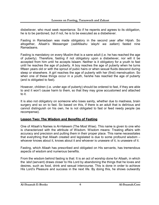<span id="page-5-0"></span>disbeliever, who must seek repentance. So if he repents and agrees to its obligation, he is to be pardoned, but if not, he is to be executed as a disbeliever.

Fasting in Ramadaan was made obligatory in the second year after Hijrah. So altogether, Allaah's Messenger (*sallAllaahu 'alayhi wa sallam*) fasted nine Ramadaans.

Fasting is mandatory on every Muslim that is a sane adult (i.e. he has reached the age of puberty). Therefore, fasting if not obligatory upon a disbeliever, nor will it be accepted from him until he accepts Islaam. Neither is it obligatory for a youth to fast until he reaches the age of puberty. A boy reaches the age of puberty when he turns fifteen years old or with the sprout of pubic hairs or when sexual fluids descend during sleep or elsewhere. A girl reaches the age of puberty with her (first) menstruation. So when one of these things occur in a youth, he/she has reached the age of puberty (and is obligated to fast).

However, children (i.e. under age of puberty) should be ordered to fast, if they are able to and it won't cause harm to them, so that they may grow accustomed and attached to it.

It is also not obligatory on someone who loses sanity, whether due to madness, brain surgery and so on to fast. So based on this, if there is an adult that is delirious and cannot distinguish on his own, he is not obligated to fast or feed needy people (as recompense).

## **Lesson Two: The Wisdom and Benefits of Fasting**

One of Allaah's Names is Al-Hakeem (The Most Wise). This name is given to one who is characterized with the attribute of Wisdom. Wisdom means: Treating affairs with accuracy and precision and putting them in their proper place. This name necessitates that everything that Allaah created and legislated is due to some profound wisdom – whoever knows about it, knows about it and whoever is unaware of it, is unaware of it.

Fasting, which Allaah has prescribed and obligated on His servants, has tremendous aspects of wisdom and numerous benefits.

From the wisdom behind fasting is that: It is an act of worship done for Allaah, in which the *'abd* (servant) draws closer to His Lord by abandoning the things that he loves and desires, such as food, drink and sexual intercourse. This is done in order to achieve His Lord's Pleasure and success in the next life. By doing this, he shows outwardly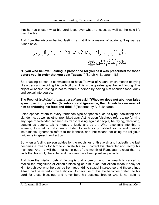that he has chosen what his Lord loves over what he loves, as well as the next life over this life.

And from the wisdom behind fasting is that it is a means of attaining Taqwaa, as Allaah says:



#### **"O you who believe! Fasting is prescribed for you as it was prescribed for those before you, in order that you gain Taqwaa."** [Surah Al-Baqarah: 183]

So a fasting person is commanded to have Taqwaa of Allaah, which means obeying His orders and avoiding His prohibitions. This is the greatest goal behind fasting. The objective behind fasting is not to torture a person by having him abandon food, drink and sexual intercourse.

The Prophet (*sallAllaahu 'alayhi wa sallam*) said: **"Whoever does not abandon false speech, acting upon that (falsehood) and ignorance, then Allaah has no need of him abandoning his food and drink."** [Reported by Al-Bukhaaree]

False speech refers to every forbidden type of speech such as lying, backbiting and slandering, as well as other prohibited acts. Acting upon falsehood refers to performing any type of forbidden act such as transgressing against people, betraying, deceiving, beating up people, taking money unjustly and so on. What also falls into this is listening to what is forbidden to listen to such as prohibited songs and musical instruments. Ignorance refers to foolishness, and that means not using the religious guidance in speech and action.

So when a fasting person abides by the requisites of this ayah and hadeeth, the fast becomes a means for him to cultivate his soul, correct his character and rectify his manners. And he will then not come out of the month of Ramadaan except that he finds that his soul, character and manners have been positively affected.

And from the wisdom behind fasting is that a person who has wealth is caused to realize the magnitude of Allaah's blessing on him, such that Allaah made it easy for Him to achieve what he desires from food, drink, sexual intercourse and those things Allaah had permitted in the Religion. So because of this, he becomes grateful to his Lord for these blessings and remembers his destitute brother who is not able to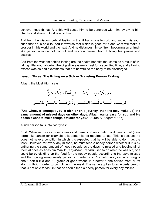<span id="page-7-0"></span>achieve these things. And this will cause him to be generous with him, by giving him charity and showing kindness to him.

And from the wisdom behind fasting is that it trains one to curb and subject his soul, such that he is able to lead it towards that which is good for it and what will make it prosper in this world and the next. And he distances himself from becoming an animallike person who cannot control and restrain himself from fulfilling his yearns and desires.

And from the wisdom behind fasting are the health benefits that come as a result of intaking little food, allowing the digestive system to rest for a specified time, and allowing excess wastes and excrements that are harmful to the body to be discharged.

# **Lesson Three: The Ruling on a Sick or Traveling Person Fasting**

Allaah, the Most High, says:

وَمَن كَانَ مَرِيضًا أَوٌ عَلَىٰ سَفَرٍ فَعِدَّةٌ مِّنۡ أَيَّامٍ أُخَـرٍّ يُريــــدُ ٱللَّــــهُ بِكُــــمُٱلۡيُسۡــــرَ وَلَا يُرِيــــدُ بِكُـــمُٱلۡعُسۡـــرَ

"**And whoever amongst you is sick or on a journey, then (he may make up) the same amount of missed days on other days. Allaah wants ease for you and He doesn't want to make things difficult for you."** [Surah Al-Baqarah: 185]

A sick person falls into two types:

**First:** Whoever has a chronic illness and there is no anticipation of it being cured (near term), like cancer for example, this person is not required to fast. This is because he does not have a condition in which it is expected that he will be able to do it (i.e. the fast). However, for every day missed, he must feed a needy person whether if it is by gathering the same amount of needy people as the days he missed and feeding all of them at once as Anas bin Maalik (*radyAllaahu 'anhu*) used to do when he was old, or it could be by dividing up the food for the needy people according to the days missed and then giving every needy person a quarter of a Prophetic saa', i.e. what weighs about half a kilo and 10 grams of good wheat. It is better if one serves meat or fat along with it in order to compliment the meal. The same applies to an elderly person that is not able to fast, in that he should feed a needy person for every day missed.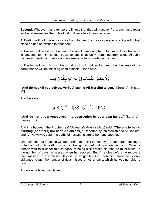**Second:** Whoever has a temporary illness that they will recover from, such as a fever and what resembles that. This kind of illness has three scenarios:

1. Fasting will not burden or cause harm to him. Such a sick person is obligated to fast since he has no excuse to abandon it.

2. Fasting will be difficult on him but it won't cause any harm to him. In this situation it is detested for him to fast because one is actually refraining from using Allaah's concession (*rukhsah*), while at the same time he is burdening himself.

3. Fasting will harm him. In this situation, it is forbidden for him to fast because of the harm that he will be inflicting upon himself. Allaah says:

وَلَا تَقَتُلُوٓاْ أَنفُسَكُمْۚ إِنَّ ٱللَّهَ كَانَ بِكُمۡ رَحِيمًا

**"And do not kill yourselves. Verily Allaah is All-Merciful to you."** [Surah An-Nisaa: 29]

And He says:

وَلَا تُلۡقُــواْ بِــأَيۡدِيكُمۡ إِلَــىٱلتَّهَٰلُكَــةِۛ

**"And do not throw yourselves into destruction by your own hands."** [Surah Al-Baqarah: 195]

And in a hadeeth, the Prophet (*sallAllaahu 'alayhi wa sallam*) said: **"There is to be no harming (of others) nor harm (to oneself)."** Reported by Ibn Maajah and Al-Haakim, and An-Nawawee said: "Its paths of narrations strengthen one another."

One can find out if fasting will be harmful to a sick person by (1) that person feeling it to be harmful on himself or by (2) him being informed of it by a reliable doctor. When a person who falls under this category of being sick breaks his fast, he must make up the number of days he missed when he recovers. But if he dies before he recovers then making up the missed days is no longer binding upon him, since he is only obligated to fast the number of days missed on other days, which he was not able to reach.

A traveler falls into two types: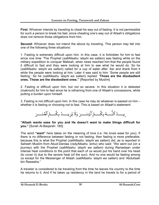**First:** Whoever intends by traveling to cheat his way out of fasting. It is not permissible for such a person to break his fast, since cheating one's way out of Allaah's obligations does not remove those obligations from him.

**Second:** Whoever does not intend the above by traveling. This person may fall into one of the following three situations:

1. Fasting is extremely difficult upon him. In this case, it is forbidden for him to fast since one time "The Prophet (*sallAllaahu 'alayhi wa sallam*) was fasting while on the military expedition to conquer Makkah, when news reached him that the people found it difficult to fast and they were looking at him to see what he would do. So he (*sallAllaahu 'alayhi wa sallam*) called for a cup of water after 'Asr and drank from it while the people were looking at him. Later it was said to him: 'Some people are still fasting.' So he (*sallAllaahu 'alayhi wa sallam*) replied: **'Those are the disobedient ones. Those are the disobedient ones.'**" [Reported by Muslim]

2. Fasting is difficult upon him, but not so severe. In this situation it is detested (*makrooh*) for him to fast since he is refraining from one of Allaah's concessions, while putting a burden upon himself.

3. Fasting is not difficult upon him. In this case he may do whatever is easiest on him – whether it is fasting or choosing not to fast. This is based on Allaah's statement:

#### **"Allaah wants ease for you and He doesn't want to make things difficult for you."** [Surah Al-Baqarah: 185]

The word **"want"** here takes on the meaning of love (i.e. He loves ease for you). If there is no difference between fasting or not fasting, then fasting is more preferable, because this is what the Prophet (*sallAllaahu 'alayhi wa sallam*) did, as is reported in Saheeh Muslim from Abud-Dardaa (*radyAllaahu 'anhu*) who said: "We went out (on a journey) with the Prophet (*sallAllaahu 'alayhi wa sallam*) during Ramadaan under intense heat conditions to the point that each of us would put his hand over his head (to cover it) due to the severe heat (of the sun). And no one would be fasting among us except for the Messenger of Allaah (*sallAllaahu 'alayhi wa sallam*) and 'Abdullaah bin Rawaaha."

A traveler is considered to be traveling from the time he leaves his country to the time he returns to it. And if he takes up residency in the land he travels to for a period of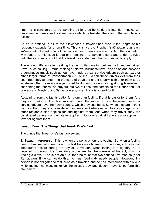<span id="page-10-0"></span>time, he is considered to be traveling as long as he holds the intention that he will never reside there after the objective for which he traveled there for in the first place is fulfilled.

So he is entitled to all of the allowances a traveler has even if the length of his residency extends for a long time. This is since the Prophet (*sallAllaahu 'alayhi wa sallam*) did not mention any time limit defining when a travel ends. And the foundation with regard to this issue is that one remains in a traveler's state and under its rules until there comes a proof that the travel has ended and that its rules fail to apply.

There is no difference in breaking the fast while traveling between a time-constrained travel, such as Hajj, 'Umrah, visiting a relative, business travel, and so on and between a continuous travel, such as journeys made by car service drivers such as taxis or other larger forms of transportation (i.e. buses). When these drivers exit from their countries, they all enter into the state of travelers and it is permissible for them to do whatever other travelers are permitted to do, such as not fasting during Ramadaan, shortening the four rak'ah prayers into two rak'ahs, and combining the Dhuhr and 'Asr prayers and Maghrib and 'Ishaa prayers, when there is a need for it.

Abstaining from the fast is better for them than fasting, if that is easier for them. And they can make up the days missed during the winter. This is because these car service drivers have their own country, which they ascribe to. So when they are in their country, then they are considered residents and whatever applies for or against all other residents also applies for and against them. And when they travel, they are considered travelers and whatever applies in favor or against travelers also applies in favor or against them.

# **Lesson Four: The Things that break One's Fast**

The things that break one's fast are seven:

**1. Sexual Intercourse:** This Is when the penis enters the vagina. So when a fasting person has sexual intercourse, his fast becomes broken. Furthermore, if this sexual intercourse occurs during the day of Ramadaan, when fasting is obligatory, he is required to perform the mandatory atonement for the vileness of his act, which is freeing a slave. If he is not able to, then he must fast two consecutive months (after Ramadaan). If he cannot do this, he must feed sixty needy people. However, if a person is not obligated to fast, such as a traveler, and he has intercourse with his wife while fasting, he must make up the missed day and doesn't have to perform this atonement.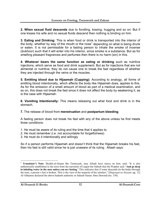**2. When sexual fluid descends** due to fondling, kissing, hugging and so on. But if one kisses his wife and no sexual fluids descend then nothing is binding on him.

**3. Eating and Drinking:** This is when food or drink is transported into the interior of the body, whether by way of the mouth or the nose<sup>1</sup> depending on what is being drunk or eaten. It is not permissible for a fasting person to inhale the smoke of incense (*bukhoor*) such that it will enter into his interior, since smoke is a substance. But as for smelling pleasant fragrances and perfumes then there is no harm (sin) in this.

**4. Whatever bears the same function as eating or drinking** such as nutritive injections, which serve as food and drink supplement. But as for injections that are not alimental or nutritive, they do not cause one to break the fast regardless of whether they are injected through the veins or the muscles.

**5. Emitting blood due to Hijaamah (Cupping):** According to analogy, all forms of emitting blood intentionally, which affects the body like Hijaamah does, applies to this. As for the emission of a small amount of blood as part of a medical examination, and so on, this does not break the fast since it does not affect the body by weakening it, as is the case with Hijaamah.

**6. Vomiting Intentionally:** This means releasing out what food and drink is in the stomach.

**7.** The release of blood from **menstruation** and **postpartum bleeding**.

A fasting person does not break his fast with any of the above unless he first meets three conditions:

- 1. He must be aware of its ruling and the time that it applies to.
- 2. He must remember (i.e. not accountable for forgetfulness)
- 3. He must do it intentionally and willingly

So if a person performs Hijaamah and doesn't think that the Hijaamah breaks his fast, then his fast is still valid since he is just unaware of its ruling. Allaah says:

 $\overline{a}$ 

<sup>1</sup> **Translator's Note:** Shaikh-ul-Islaam Ibn Taimiyyah, may Allaah have mercy on him, said: "It is also authentically established in the texts from the narration of Laqeet bin Sabrah that the Prophet said: **'And go deep in inhaling water in the nose unless you are fasting.'** This indicates that if water descends (to the body) through the nose, a person's fast is broken. This is the view of the majority of the scholars." [*Haqeeqat-us-Siyaam*: pg. 12] Al-Albaanee declared the above hadeeth authentic in Saheeh Sunan Abee Dawood (no. 130).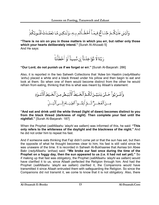وَلَيْسَ عَلَيْكُـمٌ جُنَـاحٌ فِيمَـآ أَخُطَـأَتُم بِـهِۦ وَلَـٰكِـن مَّـا تَعَمَّـدَتُ قُلُـوبُكُمُّ

**"There is no sin on you in those matters in which you err, but rather only those which your hearts deliberately intend."** [Surah Al-Ahzaab 5] And He says:

رَبَّنَا لَا تُؤَاخِذُنَآ إِن نَّسِينَآ أَوۡ أَخۡطَأُنَآ

## **"Our Lord, do not punish us if we forget or err."** [Surah Al-Baqarah: 286]

Also, it is reported in the two Saheeh Collections that 'Adee bin Haatim (*radyAllaahu 'anhu*) placed a white and a black thread under his pillow and then begin to eat and look at them. So when one of them would become distinct from the other he would refrain from eating, thinking that this is what was meant by Allaah's statement:

**"And eat and drink until the white thread (light of dawn) becomes distinct to you from the black thread (darkness of night). Then complete your fast until the nightfall."** [Surah Al-Baqarah: 187]

When the Prophet (*sallAllaahu 'alayhi wa sallam*) was informed of this, he said: **"This only refers to the whiteness of the daylight and the blackness of the night."** And he did not order him to repeat his fast.

And if someone eats thinking that Fajr didn't come yet or that the sun has set, but then the opposite of what he thought becomes clear to him, his fast is still valid since he was unaware of the time. It is recorded in Saheeh Al-Bukhaaree that Asmaa bin Abee Bakr (*radyAllaahu 'anhaa*) said: **"We broke our fast once during the time of the Prophet on a foggy day, then the sun appeared to us (i.e. it had not set yet)."** So if making up that fast was obligatory, the Prophet (*sallAllaahu 'alayhi wa sallam*) would have clarified it to us, since Allaah perfected the Religion through him. And had the Prophet (*sallAllaahu 'alayhi wa sallam*) clarified it, the Companions would have transmitted it since Allaah entrusted them with safeguarding the Religion. So since the Companions did not transmit it, we come to know that it is not obligatory. Also, there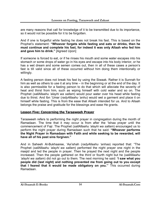<span id="page-13-0"></span>are many reasons that call for knowledge of it to be transmitted due to its importance, so it would not be possible for it to be forgotten.

And if one is forgetful while fasting he does not break his fast. This is based on the Prophet's statement: **"Whoever forgets while fasting and eats or drinks, then he must continue and complete his fast, for indeed it was only Allaah who fed him and gave him to drink."** [Agreed Upon]

If someone is forced to eat, or if he rinses his mouth and some water escapes into his stomach or some drops of water go in his eyes and escape into his body interior, or he has a wet dream and some semen comes out, then in all of these cases a person's fast is till valid since all of these occurred without him doing them intentionally or willingly.

A fasting person does not break his fast by using the Siwaak. Rather it is Sunnah for him as well as others to use it at any time – in the beginning or at the end of the day. It is also permissible for a fasting person to do that which will alleviate the severity of heat and thirst from him, such as wiping himself with cold water and so on. The Prophet (*sallAllaahu 'alayhi wa sallam*) would pour water over his head while fasting due to thirst. And Ibn 'Umar (*radyAllaahu 'anhu*) would wet a garment and place it on himself while fasting. This is from the ease that Allaah intended for us. And to Allaah belongs the praise and gratitude for the blessings and ease He grants.

# **Lesson Five: Concerning the Taraaweeh Prayer**

Taraaweeh refers to performing the night prayer in congregation during the month of Ramadaan. The time that it may occur is from after the 'Ishaa prayer until the commencement of Fajr. The Prophet (*sallAllaahu 'alayhi wa sallam*) encouraged us to perform the night prayer during Ramadaan such that he said: **"Whoever performs the Night Prayer in Ramadaan with Faith and while seeking to be rewarded, will have all of his past sins forgiven."**

And in Saheeh Al-Bukhaaree, 'Aa'ishah (*radyAllaahu 'anhaa*) reported that: "The Prophet (*sallAllaahu 'alayhi wa sallam*) performed the night prayer one night in the masjid and led the people in prayer. Then he prayed the next night and the people increased. Then the people gathered on the third or fourth night but he (*sallAllaahu 'alayhi wa sallam*) did not go out to them. The next morning he said: **'I saw what you people did (last night) and nothing prevented me from going out to you except that I feared that it would be made obligatory on you.'**" This occurred during Ramadaan.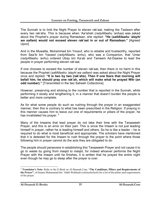The Sunnah is to limit the Night Prayer to eleven rak'aat, making the Tasleem after every two rak'ahs. This is because when 'Aa'ishah (*radyAllaahu 'anhaa*) was asked about the Prophet's prayer during Ramadaan, she replied: **"He (***sallAllaahu 'alayhi wa sallam***) would not exceed eleven rak'aat in or out of Ramadaan."** [Agreed Upon]

And in the Muwatta, Muhammad bin Yoosuf, who is reliable and trustworthy, reported from Saa'ib bin Yazeed (*radyAllaahu 'anhu*), who was a Companion, that 'Umar (*radyAllaahu 'anhu*) ordered Ubay bin Ka'ab and Tameem Ad-Daaree to lead the people in prayer performing eleven rak'aat.

If one chooses to exceed the number of eleven rak'aat, then there is no harm in this because the Prophet (*sallAllaahu 'alayhi wa sallam*) was asked about the Night Prayer once and replied: **"It is two by two (rak'ahs). Then if one fears that morning will befall him, he should pray one rak'ah, which will make what he prayed Witr (an odd number)."** [Transmitted in the two Saheeh Collections]

However, preserving and sticking to the number that is reported in the Sunnah, while performing it slowly and lengthening it, in a manner that doesn't burden the people is better and more complete.

As for what some people do such as rushing through the prayer in an exaggerated manner, then this is contrary to what has been prescribed in the Religion. If praying in this manner causes him to leave out one of requirements or pillars of the prayer, he has invalidated his prayer.  $2^2$ 

Many of the Imaams that lead prayer do not take their time with the Taraaweeh Prayer, and this is an error on their part. This is since the Imaam is not just leading himself in prayer, rather he is leading himself and others. So he is like a leader – he is required to do what is most beneficial and appropriate. The scholars have mentioned that it is detested for the Imaam to rush through the prayer to the point where those following him in prayer cannot do the acts they are obligated to do.

The people should persevere in establishing this Taraaweeh Prayer and not cause it to go to waste by going from masjid to masjid, for indeed whoever performs the Night Prayer with the Imaam until he finishes, it is written that he prayed the entire night even though he may go to sleep after the prayer is over.

 $\overline{a}$ 

<sup>2</sup> **Translator's Note:** Refer to the E-Book on Al-Ibaanah.Com, **"The Conditions, Pillars and Requirements of the Prayer"**, of Imaam Muhammad bin 'Abdil-Wahhaab (*rahimahullaah*) for a list of the pillars and requirements of the prayer.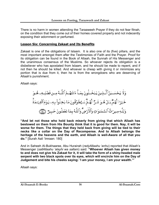<span id="page-15-0"></span>There is no harm in women attending the Taraaweeh Prayer if they do not fear fitnah, on the condition that they come out of their homes covered properly and not indecently exposing their adornment or perfumed.

## **Lesson Six: Concerning Zakaat and Its Benefits**

Zakaat is one of the obligations of Islaam. It is also one of its (five) pillars, and the most important amongst them after the Testimonies of Faith and the Prayer. Proof for its obligation can be found in the Book of Allaah, the Sunnah of His Messenger and the unanimous consensus of the Muslims. So whoever rejects its obligation is a disbeliever who has apostated from Islaam, and he should be made to repent, and if not then he should be killed. And whoever is cheap with giving it or minimizes any portion that is due from it, then he is from the wrongdoers who are deserving of Allaah's punishment.

Allaah says:

وَلَا يَحُسَـبَنَّ اَلَّّذِينَ يَبُخَـلُونَ بِمَـاَ ءَاتَنهُـمُ الَلَّـهُ مِـن فَصُلِـهِـهُـوَ  
خَيُرَا لَّهُمُّ بَـلُ مُّوَ شَىُّ لَّهُمُّ سَـيُظُوَّقُونَ مَا بَخِلُواٌ بِهِـهِ يَوُمَالُقِيََّدِمَةُّ
$$
\frac{2}{3}
$$
وَلِلَّهِ مِيرَتُّ الَسَّمَنوَتِ وَالُلَّارُضِّ وَالَلَّهُ بِمَا تَعُمَلُونَ خَبِيرُّ

**"And let not those who hold back miserly from giving that which Allaah has bestowed on them from His Bounty think that it is good for them. Nay, it will be worse for them. The things that they held back from giving will be tied to their necks like a collar on the Day of Recompense. And to Allaah belongs the heritage of the heavens and the earth, and Allaah is well-Aware of all that you do."** [Surah Aali 'Imraan: 180]

And in Saheeh Al-Bukhaaree, Abu Hurairah (*radyAllaahu 'anhu*) reported that Allaah's Messenger (*sallAllaahu 'alayhi wa sallam*) said: **"Whoever Allaah has given money to and does not give his Zakaat for it, it will take the form of a shiny-headed male serpent with two black spots over its eyes, which will encircle him on the Day of Judgement and bite his cheeks saying: 'I am your money, I am your wealth.'"**

Allaah says: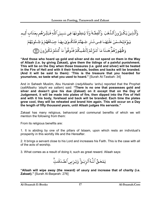وَٱلَّذِينَ يَكُنِزُونَ ٱلذَّهَبَ ۚ وَٱلۡفِضَّةَ وَلَا يُنفِقُونَهَا فِى سَبِيلِ ٱللَّهِ فَبَشِّرُهُم بِعَذَاب أَلِيم يَوَّمَيُحُـمَىٰ عَلَيْهَـا فِـي نَـار جَـهَنَّمَ فَتُكُـوَىٰ بِهَـا جِبَـاهُهُمْ وَجُـنُوبُهُمُ وَظُهُورُهُمٌّ هَـٰذَا مَا كَنَزُتُمُ لِأَنفُسِكُمُ فَذُوقُواْ مَا كُنتُمْ تَكُنِزُونَ ۞

**"And those who hoard up gold and silver and do not spend on them in the Way of Allaah (i.e. by giving Zakaat), give them the tidings of a painful punishment. This will be on the Day when those treasures (i.e. gold and silver) will be heated in the Fire of Hell and with it their foreheads, bodies and backs will be branded. (And it will be said to them): 'This is the treasure that you hoarded for yourselves, so taste what you used to hoard."** [Surah At-Tawbah: 34]

And in Saheeh Muslim, Abu Hurairah (*radyAllaahu 'anhu*) reported that the Prophet (*sallAllaahu 'alayhi wa sallam*) said: **"There is no one that possesses gold and silver and doesn't give his due (Zakaat) on it except that on the Day of Judgement, it will be made into plates of fire, then dipped into the Fire of Hell and with it his body, forehead and back will be branded. Each time the plates grow cool, they will be reheated and brand him again. This will occur on a Day the length of fifty thousand years, until Allaah judges His servants."**

Zakaat has many religious, behavioral and communal benefits of which we will mention the following from them:

From its religious benefits are:

1. It is abiding by one of the pillars of Islaam, upon which rests an individual's prosperity in this worldly life and the Hereafter.

2. It brings a servant close to his Lord and increases his Faith. This is the case with all of the acts of worship.

3. What comes as a result of doing it, such as great reward. Allaah says:

يَمُحَقُ ٱللَّهُ ٱلرّبَوٰاْ وَيُرۡبِى ٱلصَّدَقَىٰتِۗ

**"Allaah will wipe away (the reward) of usury and increase that of charity (i.e. Zakaat)."** [Surah Al-Baqarah: 276]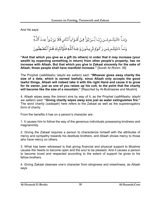And He says:

وَمَــآ ءَاتَيۡتُــم مِّــن رّبَّـا لِّـيَرُبُوَاۚ فِـىٓ أَمُـوَاٰلِ ٱلنَّاسِ فَلَا يَرُبُـواْ عِنـدَ ٱللَّـةِ وَمَـآ ءَاتَيۡتُـم مِّـن زَ كَـوٰةٍ تُريـدُونَ وَجۡـهَ ٱللَّـهِ فَـأُوْلَـٰٓئِكَ هُـمُ ٱلۡمُضۡعِفُـونَ

**"And that which you give as a gift (to others) in order that it may increase (your wealth by expecting something in return) from other people's property, has no increase with Allaah. But that which you give in Zakaat sincerely for the sake of Allaah, those people shall have manifold increase."** [Surah Ar-Room: 39]

The Prophet (*sallAllaahu 'alayhi wa sallam*) said: **"Whoever gives away charity the size of a date, which is earned lawfully, since Allaah only accepts the good lawful things, Allaah will indeed take it with His right Hand and cause it to grow for its owner, just as one of you raises up his colt, to the point that the charity will become like the size of a mountain."** [Reported by Al-Bukhaaree and Muslim]

4. Allaah wipes away the (minor) sins by way of it, as the Prophet (*sallAllaahu 'alayhi wa sallam*) said: **"Giving charity wipes away sins just as water extinguishes fire."**  The word charity (*sadaqah*) here refers to the Zakaat as well as the supererogatory form of charity.

From the benefits it has on a person's character are:

1. It causes him to follow the way of the generous individuals possessing kindness and magnanimity.

2. Giving the Zakaat requires a person to characterize himself with the attributes of mercy and sympathy towards his destitute brothers, and Allaah shows mercy to those who have mercy on others.

3. What has been witnessed is that giving financial and physical support to Muslims causes the hearts to become open and the soul to be pleased. And it causes a person to become loved and respected according to the extent of support he gives to his fellow brothers.

4. Giving Zakaat cleanses one's character from stinginess and miserliness, as Allaah says: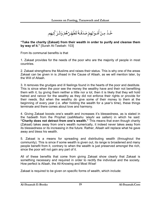خُـّذٌ مِـنٌ أَمَّـوَالِهِمٌ صَدَقَـةً تُطَّهِّـرُّهُمٌ وَتُـزَ كِّـيهِم

**"Take the charity (Zakaat) from their wealth in order to purify and cleanse them by way of it."** [Surah At-Tawbah: 103]

From its communal benefits is that

1. Zakaat provides for the needs of the poor who are the majority of people in most countries.

2. Zakaat strengthens the Muslims and raises their status. This is why one of the areas Zakaat can be given in is Jihaad in the Cause of Allaah, as we will mention later, by the Will of Allaah.

3. It removes the grudges and ill feelings found in the hearts of the poor and destitute. This is since when the poor see the money the wealthy have and their not benefiting them with it, by giving them neither a little nor a lot, then it is likely that they will hold hatred and rancor for the wealthy as they did not enforce their rights or provide for their needs. But when the wealthy do give some of their money to them at the beginning of every year (i.e. after holding the wealth for a year's time), these things terminate and there comes about love and harmony.

4. Giving Zakaat boosts one's wealth and increases it's blessedness, as is stated in the hadeeth from the Prophet (*sallAllaahu 'alayhi wa sallam*) in which he said: **"Charity does not detract from one's wealth."** This means that even though charity (Zakaat) takes away from one's wealth numerically, it indeed never takes away from its blessedness or its increasing in the future. Rather, Allaah will replace what he gave away and bless his wealth.

5. Zakaat is a means for spreading and distributing wealth (throughout the community). This is since if some wealth is given out, its range is broadened and many people benefit from it, contrary to when the wealth is just preserved amongst the rich, since the poor will not gain any part of it.

All of these benefits that come from giving Zakaat show clearly that Zakaat is something necessary and required in order to rectify the individual and the society. How perfect is Allaah, the All-Knowing and Most Wise!

Zakaat is required to be given on specific forms of wealth, which include: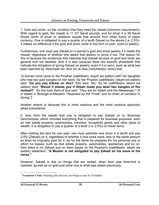1. Gold and silver, on the condition that they meet the *nisaab* (minimum requirement). With regard to gold, the nisaab is 11 3/7 Saudi pounds, and for silver it is 56 Saudi Riyals worth of silver or whatever equals that amount from other forms of paper currency. One is obligated to pay a quarter of a tenth Zakaat on the above (i.e. 2.5%). It makes no difference if the gold and silver come in the form of cash, coins or jewelry.

Furthermore, one must pay Zakaat on a woman's gold and silver jewelry if it meets the *nisaab*, regardless of whether she wears that jewelry or lends it out. The reason for this is because the evidences that mandate that Zakaat be paid on gold and silver are general and not detailed. And it is also because there are specific ahaadeeth that indicate the obligation of giving Zakaat on jewelry, even if it is worn, such as what has been reported by 'Abdullaah bin 'Amr bin al-'Aas (*radyAllaahu 'anhu*) that:

"A woman once came to the Prophet (*sallAllaahu 'alayhi wa sallam*) with her daughter who had two gold bangles on her hand. So the Prophet (*sallAllaahu 'alayhi wa sallam*) said: **'Do you pay Zakaat on this?'** She said: 'No.' So he (*sallAllaahu 'alayhi wa sallam*) said: **'Would it please you if Allaah made you wear two bangles of fire instead?'** So she took them of and said: 'They are for Allaah and His Messenger.'" [It is stated in Buloogh-ul-Maraam: "Reported by the Three<sup>3</sup> and its chain of narration is strong."]

Another reason is because this is more cautious and the most cautious approach takes precedence.

2. Also from the wealth that one is obligated to pay Zakaat on is: Business merchandise, which includes everything that is prepared for business purposes, such as real estate property, automobiles, livestock, household goods and other types of wealth. It is obligatory to pay a quarter of a tenth (i.e. 2.5%) on these items.

After holding the item for one year, one must estimate how much it is worth and pay 2.5% (Zakaat) on it, regardless of whether it now costs more, less or the same amount as what he originally paid for it. As for the items he prepares for his personal use or which he leases, such as real estate property, automobiles, appliances and so on, then there is no Zakaat due on them based on the Prophet's (*sallAllaahu 'alayhi wa sallam*) statement: **"A Muslim is not obligated to pay Zakaat on his slave or his horse."**

However, Zakaat is due on things that are rented, when their year time-limit is reached, as well as on gold and silver due to what was stated previously.

 $\overline{a}$ <sup>3</sup> **Translator's Note:** Meaning Abu Dawood, An-Nasaa'ee and At-Tirmidhee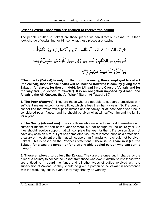## <span id="page-20-0"></span>**Lesson Seven: Those who are entitled to receive the Zakaat**

The people entitled to Zakaat are those places we can direct our Zakaat to. Allaah took charge of explaining for Himself what these places are, saying:



**"The charity (Zakaat) is only for the poor, the needy, those employed to collect (the Zakaat), those whose hearts will be inclined (towards Islaam, by giving them Zakaat), for slaves, for those in debt, for (Jihaad in) the Cause of Allaah, and for the wayfarer (i.e. destitute traveler). It is an obligation imposed by Allaah, and Allaah is the All-Knower, the All-Wise."** [Surah At-Tawbah: 60]

**1. The Poor (***Fuqaraa***):** They are those who are not able to support themselves with sufficient means, except for very little, which is less than half (a year). So if a person cannot find that which will support himself and his family for at least half a year, he is considered poor (*faqeer*) and he should be given what will suffice him and his family for a year.

**2. The Needy (***Masaakeen***):** They are those who are able to support themselves with sufficient means for half of the year or more, but not enough for the entire year. So they should receive support that will complete the year for them. If a person does not have any cash on him, but yet has some other source of income, such as a profession, a salary or investment profits that will support him financially, he should not be given Zakaat. This is based on the Prophet's statement: **"There is no share in it (i.e. the Zakaat) for a wealthy person or for a strong able-bodied person who can earn a living."**

**3. Those employed to collect the Zakaat:** They are the ones put in charge by the ruler of a country to collect the Zakaat from those who owe it, distribute it to those who are entitled to it, guard the funds and all other types of duties involved with the supervision of Zakaat. So they should be given a portion of the Zakaat in accordance with the work they put in, even if they may already be wealthy.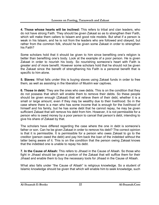**4. Those whose hearts will be inclined:** This refers to tribal and clan leaders, who do not have strong Faith. They should be given Zakaat so as to strengthen their Faith, which will make them callers to Islaam and good role models. But what if a person is weak in his Islaam, and he is not from the leaders who are followed and obeyed, but rather from the common folk, should he be given some Zakaat in order to strengthen his Faith?

Some scholars hold that it should be given to him since benefiting one's religion is better than benefiting one's body. Look at the example of a poor person. He is given Zakaat in order to nourish his body. So nourishing someone's heart with Faith is greater and of more benefit. However some scholars hold that he should not be given the Zakaat since the benefit of strengthening his Faith is a personal benefit that is specific to him alone.

**5. Slaves:** What falls under this is buying slaves using Zakaat funds in order to free them, as well as assisting in the liberation of Muslim war captives.

**6. Those in debt:** They are the ones who owe debts. This is on the condition that they do not possess that which will enable them to remove their debts. So these people should be given enough (Zakaat) that will relieve them of their debt, whether it is a small or large amount, even if they may be wealthy due to their livelihood. So in the case where there is a man who has some income that is enough for the livelihood of himself and his family, but he has some debt that he cannot repay, he may be given sufficient Zakaat that will remove his debt from him. However, it is not permissible for a person who is owed money by a poor person to cancel that person's debt, intending to give his share of Zakaat by that.

The scholars have differed regarding the case where the one in debt is someone's father or son. Can he be given Zakaat in order to remove his debt? The correct opinion is that it is permissible. It is permissible for a person who owes Zakaat to go to the creditor (person owed the debt) and pay him back the loan of the indebted without the latter being aware of it. This is on the condition that the person owing Zakaat knows that the indebted one is unable to repay his debt.

**7. In the Cause of Allaah:** This refers to Jihaad in the Cause of Allaah. So those who fight in Jihaad should be given a portion of the Zakaat that will suffice them for their Jihaad and enable them to buy the necessary tools for Jihaad in the Cause of Allaah.

What also falls under "the Cause of Allaah" is religious knowledge. So a student of Islamic knowledge should be given that which will enable him to seek knowledge, such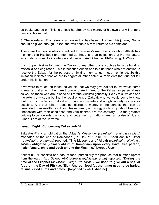<span id="page-22-0"></span>as books and so on. This is unless he already has money of his own that will enable him to achieve that.

**8. The Wayfarer:** This refers to a traveler that has been cut off from his journey. So he should be given enough Zakaat that will enable him to return to his homeland.

These are the people who are entitled to receive Zakaat, the ones whom Allaah has mentioned in His Book and informed us that this is an obligation that He mandated, which stems from His knowledge and wisdom. And Allaah is All-Knowing, All-Wise.

It is not permissible to direct the Zakaat to any other place, such as towards building masaajid or fixing roads. This is because Allaah has told us those who are entitled to receive the Zakaat for the purpose of limiting them to just those mentioned. So this limitation indicates that we are to negate all other potential recipients that due not fall under this limitation.

If we were to reflect on those individuals that we may give Zakaat to, we would come to realize that among them are those who are in need of the Zakaat for personal use as well as those who are in need of it for the Muslims generally. So by this, we can see the extent of wisdom behind the requirement of Zakaat. And we would come to know that the wisdom behind Zakaat is to build a complete and upright society, as best as possible. And that Islaam does not disregard money or the benefits that can be generated from wealth, nor does it leave greedy and stingy souls to go about freely an unchecked with their stinginess and vain desires. On the contrary, it is the greatest guiding force towards the good and betterment of nations. And all praise is due to Allaah, Lord of the universe.

# **Lesson Eight: Concerning Zakaat-ul-Fitr**

Zakaat-ul-Fitr is an obligation that Allaah's Messenger (*sallAllaahu 'alayhi wa sallam*) mandated at the end of Ramadaan (i.e. Day of 'Eid-ul-Fitr). 'Abdullaah bin 'Umar (*radyAllaahu 'anhumaa*) reported: **"The Messenger of Allaah** (*sallAllaahu 'alayhi wa sallam*) **obligated (Zakaat) al-Fitr of Ramadaan upon every slave, free person, male, female, child and adult among the Muslims."** [Agreed Upon]

Zakaat-ul-Fitr consists of a saa' of food, particularly the produce that humans uproot from the earth. Abu Sa'eed Al-Khudree (*radyAllaahu 'anhu*) reported: **"During the time of the Prophet** (*sallAllaahu 'alayhi wa sallam*)**, we used to give out a** *saa'* **of food on the Day of Fitr (i.e. 'Eid). And our food (at that time) used to be barley, raisins, dried curds and dates."** [Reported by Al-Bukhaaree]